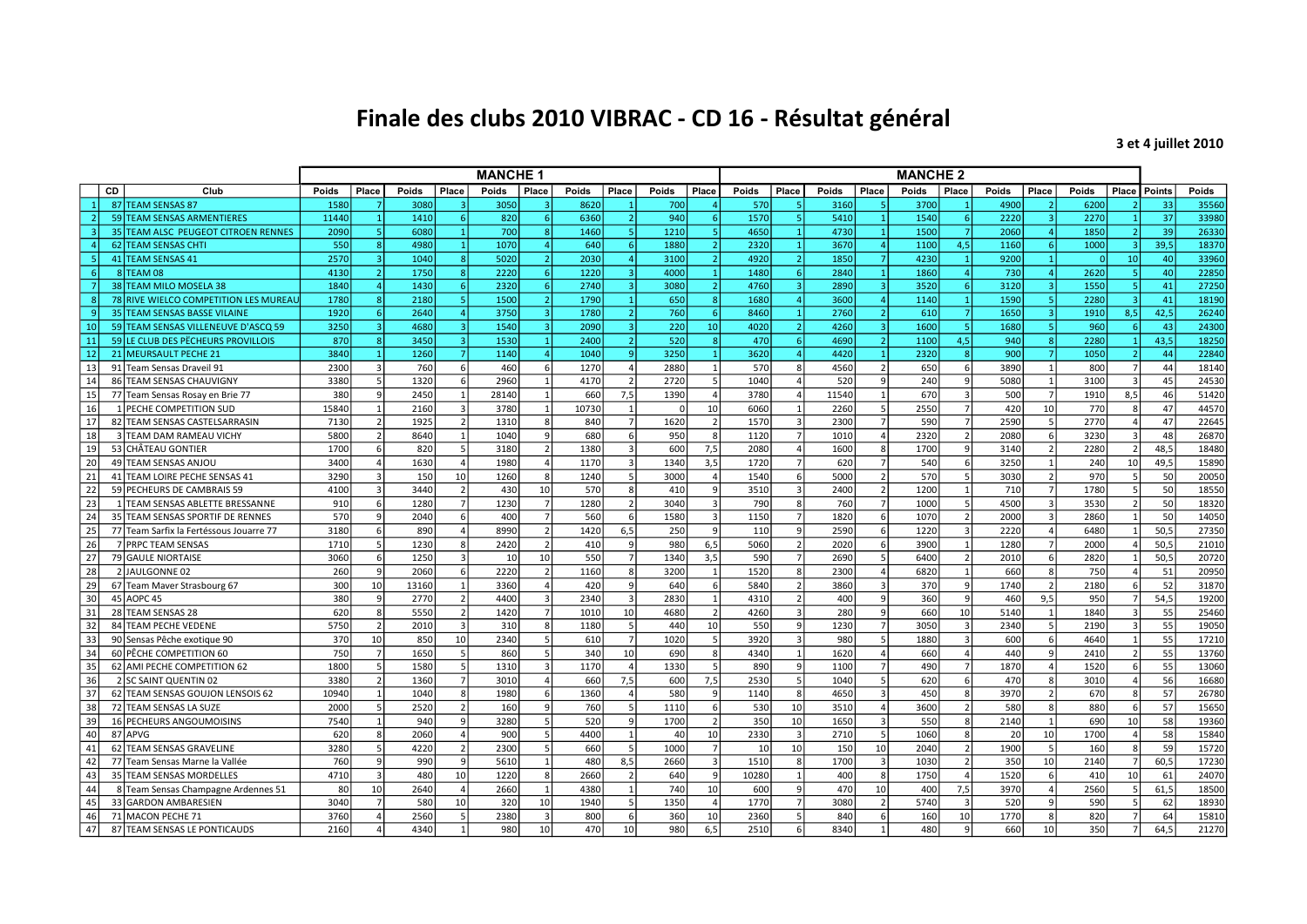## Finale des clubs 2010 VIBRAC - CD 16 - Résultat général

3 et 4 juillet 2010

|                |                                         | <b>MANCHE 1</b> |                         |                 |                          |       |                          |                 |                         | <b>MANCHE 2</b> |                  |       |       |       |                          |       |                |       |                   |          |                |        |       |
|----------------|-----------------------------------------|-----------------|-------------------------|-----------------|--------------------------|-------|--------------------------|-----------------|-------------------------|-----------------|------------------|-------|-------|-------|--------------------------|-------|----------------|-------|-------------------|----------|----------------|--------|-------|
| CD             | Club                                    | Poids           | Place                   | Poids           | Place                    | Poids | Place                    | Poids           | Place                   | Poids           | Place            | Poids | Place | Poids | Place                    | Poids | Place          | Poids | Place             | Poids    | Place          | Points | Poids |
|                | 87 TEAM SENSAS 87                       | 1580            |                         | <b>3080</b>     |                          | 3050  |                          | 8620            |                         | 700             |                  | 570   |       | 3160  |                          | 3700  |                | 4900  |                   | 6200     |                | 33     | 35560 |
| $\overline{2}$ | 59 TEAM SENSAS ARMENTIERES              | 11440           | $\vert 1 \vert$         | 1410            | 6 <sup>1</sup>           | 820   | 6 <sup>1</sup>           | 6360            | $\overline{2}$          | 940             | 6 <sup>1</sup>   | 1570  |       | 5410  |                          | 1540  | -6             | 2220  | $\vert$ 3         | 2270     |                | 37     | 33980 |
|                | 35 TEAM ALSC PEUGEOT CITROEN RENNES     | 2090            | $\vert$ 5               | 6080            | $\mathbf{1}$             | 700   | -8 l                     | 1460            | 51                      | 1210            | -51              | 4650  |       | 4730  |                          | 1500  |                | 2060  | $\Delta$          | 1850     | $\overline{2}$ | 39     | 26330 |
| $\overline{a}$ | 62 TEAM SENSAS CHTI                     | 550             | 8                       | 4980            | $\mathbf{1}$             | 1070  | $\overline{4}$           | 640             | 6 <sup>1</sup>          | 1880            | 2 <sup>1</sup>   | 2320  |       | 3670  | $\overline{a}$           | 1100  | 4,5            | 1160  | -61               | 1000     | $\overline{3}$ | 39,5   | 18370 |
| $\sqrt{5}$     | 41 TEAM SENSAS 41                       | 2570            | $\overline{3}$          | 1040            | $\lvert 8 \rvert$        | 5020  | 2 <sup>1</sup>           | 2030            |                         | 3100            | $\overline{2}$   | 4920  |       | 1850  | 7 <sup>1</sup>           | 4230  | $\mathbf{1}$   | 9200  | $\mathbf{1}$      | $\Omega$ | 10             | 40     | 33960 |
| 6              | 8 TEAM 08                               | 4130            | $\overline{2}$          | 1750            | $\lvert 8 \rvert$        | 2220  | 6 <sup>1</sup>           | 1220            | $\overline{3}$          | 4000            | $\vert$ 1        | 1480  |       | 2840  | $\overline{1}$           | 1860  |                | 730   | $\overline{a}$    | 2620     |                | 40     | 22850 |
| $\overline{7}$ | 38 TEAM MILO MOSELA 38                  | 1840            | $\overline{a}$          | 1430            | $6 \mid$                 | 2320  | 6 <sup>1</sup>           | 2740            | $\overline{\mathbf{a}}$ | 3080            | $\overline{2}$   | 4760  |       | 2890  | $\vert$ 3                | 3520  | 6              | 3120  | $\vert$ 3         | 1550     | -5             | 41     | 27250 |
| $\mathbf{8}$   | 78 RIVE WIELCO COMPETITION LES MUREAU   | 1780            | $\overline{8}$          | 2180            | $\mathsf{5}$             | 1500  | $\vert$ 2                | 1790            | $\overline{1}$          | 650             | 8                | 1680  |       | 3600  | $\overline{a}$           | 1140  | $\overline{1}$ | 1590  | 51                | 2280     | $\overline{3}$ | 41     | 18190 |
| $\overline{9}$ | 35 TEAM SENSAS BASSE VILAINE            | 1920            | $6\overline{6}$         | 2640            | $\vert$                  | 3750  | $\overline{3}$           | 1780            |                         | 760             | 6 <sup>1</sup>   | 8460  |       | 2760  | $\overline{2}$           | 610   |                | 1650  | $\vert$ 3         | 1910     | 8,5            | 42,5   | 26240 |
| 10             | 59 TEAM SENSAS VILLENEUVE D'ASCQ 59     | 3250            | $\vert$ 3               | 4680            | $\overline{a}$           | 1540  | $\vert$ 3                | 2090            | $\overline{\mathbf{3}}$ | 220             | 10 <sup>1</sup>  | 4020  |       | 4260  | $\vert$ 3                | 1600  | 5              | 1680  | 51                | 960      |                | 43     | 24300 |
| 11             | 59 LE CLUB DES PECHEURS PROVILLOIS      | 870             | $\overline{8}$          | 3450            | $\vert$ 3                | 1530  |                          | 2400            |                         | 520             | $\mathbf{R}$     | 470   |       | 4690  | $\overline{2}$           | 1100  | 4,5            | 940   | $\lvert 8 \rvert$ | 2280     |                | 43,5   | 18250 |
| 12             | 21 MEURSAULT PECHE 21                   | 3840            | $\overline{1}$          | 1260            |                          | 1140  | $\Delta$                 | 1040            |                         | 3250            | $\overline{1}$   | 3620  |       | 4420  |                          | 2320  | $\mathbf{R}$   | 900   | $\overline{7}$    | 1050     |                | 44     | 22840 |
| 13             | 91 Team Sensas Draveil 91               | 2300            | $\overline{3}$          | 760             | $\mathsf{F}$             | 460   | 6                        | 1270            |                         | 2880            | 1                | 570   |       | 4560  |                          | 650   | 6              | 3890  | 1                 | 800      |                | 44     | 18140 |
| 14             | 86 TEAM SENSAS CHAUVIGNY                | 3380            | 5                       | 1320            |                          | 2960  |                          | 4170            |                         | 2720            | 5                | 1040  |       | 520   | $\mathsf{q}$             | 240   |                | 5080  |                   | 3100     |                | 45     | 24530 |
| 15             | 77 Team Sensas Rosay en Brie 77         | 380             |                         | 2450            |                          | 28140 |                          | 660             | 7,5                     | 1390            |                  | 3780  |       | 11540 |                          | 670   | 3              | 500   | $\overline{7}$    | 1910     | 8,5            | 46     | 51420 |
| 16             | 1 PECHE COMPETITION SUD                 | 15840           |                         | 2160            |                          | 3780  |                          | 10730           |                         | C               | 10               | 6060  |       | 2260  |                          | 2550  |                | 420   | 10                | 770      |                | 47     | 44570 |
| 17             | 82 TEAM SENSAS CASTELSARRASIN           | 7130            | $\overline{2}$          | 1925            |                          | 1310  |                          | 840             |                         | 1620            | $\overline{2}$   | 1570  |       | 2300  | $\overline{7}$           | 590   |                | 2590  | 5                 | 2770     |                | 47     | 22645 |
| 18             | 3 TEAM DAM RAMEAU VICHY                 | 5800            | $\overline{2}$          | 8640            |                          | 1040  | q                        | 680             |                         | 950             | 8                | 1120  |       | 1010  | $\overline{a}$           | 2320  | $\overline{2}$ | 2080  | 6 <sup>1</sup>    | 3230     | 3              | 48     | 26870 |
| 19             | 53 CHÂTEAU GONTIER                      | 1700            | 6                       | 820             | 5                        | 3180  | $\overline{2}$           | 1380            |                         | 600             | 7,5              | 2080  |       | 1600  | 8                        | 1700  | q              | 3140  | $\overline{2}$    | 2280     | $\overline{2}$ | 48,5   | 18480 |
| 20             | 49 TEAM SENSAS ANJOU                    | 3400            | $\overline{a}$          | 1630            | $\Delta$                 | 1980  | $\overline{a}$           | 1170            | 3                       | 1340            | $\overline{3,5}$ | 1720  |       | 620   | $\overline{7}$           | 540   | 6              | 3250  | $\mathbf{1}$      | 240      | 10             | 49,5   | 15890 |
| 21             | 41 TEAM LOIRE PECHE SENSAS 41           | 3290            | 3                       | 150             | 10 <sup>1</sup>          | 1260  | $\mathbf{R}$             | 1240            | 5                       | 3000            | $\overline{a}$   | 1540  |       | 5000  | 2 <sup>1</sup>           | 570   | 5              | 3030  | $\overline{2}$    | 970      |                | 50     | 20050 |
| 22             | 59 PECHEURS DE CAMBRAIS 59              | 4100            | $\overline{\mathbf{3}}$ | 3440            | 2 <sup>1</sup>           | 430   | 10                       | 570             | 8                       | 410             | او               | 3510  |       | 2400  | $\overline{2}$           | 1200  | $\mathbf{1}$   | 710   | 7                 | 1780     | 5              | 50     | 18550 |
| 23             | 1 TEAM SENSAS ABLETTE BRESSANNE         | 910             | 6                       | 1280            | 7                        | 1230  | $\overline{7}$           | 1280            | $\overline{2}$          | 3040            | $\overline{3}$   | 790   |       | 760   | 7                        | 1000  | 5              | 4500  | $\vert$ 3         | 3530     |                | 50     | 18320 |
| 24             | 35 TEAM SENSAS SPORTIF DE RENNES        | 570             | 9                       | 2040            | 6 <sup>1</sup>           | 400   | $\overline{7}$           | 560             | $6 \mid$                | 1580            | $\vert$ 3        | 1150  |       | 1820  | $6 \mid$                 | 1070  | 2 <sup>1</sup> | 2000  | $\vert$ 3         | 2860     | $\overline{1}$ | 50     | 14050 |
| 25             | 77 Team Sarfix la Fertéssous Jouarre 77 | 3180            | 6                       | 890             | $\overline{\mathbf{A}}$  | 8990  | $\overline{2}$           | 1420            | 6,5                     | 250             | $\overline{9}$   | 110   |       | 2590  | 6                        | 1220  | $\overline{3}$ | 2220  | $\overline{a}$    | 6480     |                | 50,5   | 27350 |
| 26             | 7 PRPC TEAM SENSAS                      | 1710            | 5 <sup>1</sup>          | 1230            | 8 <sup>1</sup>           | 2420  | $\overline{2}$           | 410             | -9                      | 980             | 6,5              | 5060  |       | 2020  | $6 \mid$                 | 3900  | 1              | 1280  | 7                 | 2000     | $\overline{4}$ | 50.5   | 21010 |
| 27             | 79 GAULE NIORTAISE                      | 3060            | 6                       | 1250            | $\overline{3}$           | 10    | 10                       | 550             | $\overline{7}$          | 1340            | 3,5              | 590   |       | 2690  | 5                        | 6400  | $\overline{2}$ | 2010  | 6 <sup>1</sup>    | 2820     |                | 50,5   | 20720 |
| 28             | 2 JAULGONNE 02                          | 260             | $\mathsf{g}$            | 2060            | 6 <sup>1</sup>           | 2220  | $\mathcal{L}$            | 1160            | $\mathbf{g}$            | 3200            | 1                | 1520  |       | 2300  | $\overline{4}$           | 6820  | $\overline{1}$ | 660   | 8                 | 750      | $\overline{A}$ | 51     | 20950 |
| 29             | 67 Team Maver Strasbourg 67             | 300             | 10 <sup>1</sup>         | 13160           |                          | 3360  | $\Delta$                 | 420             | $\mathsf{q}$            | 640             | 61               | 5840  |       | 3860  | $\overline{3}$           | 370   | q              | 1740  | $\overline{2}$    | 2180     |                | 52     | 31870 |
| 30             | 45 AOPC 45                              | 380             | $\mathbf{q}$            | 2770            | $\overline{\mathcal{L}}$ | 4400  | $\overline{\mathbf{3}}$  | 2340            | $\overline{\mathbf{3}}$ | 2830            | 1                | 4310  |       | 400   | $\mathbf{g}$             | 360   | q              | 460   | 9,5               | 950      |                | 54,5   | 19200 |
| 31             | 28 TEAM SENSAS 28                       | 620             | 8 <sup>1</sup>          | 5550            | $\mathcal{P}$            | 1420  | $\overline{7}$           | 1010            | 10                      | 4680            | 2                | 4260  |       | 280   | $\mathbf{g}$             | 660   | 10             | 5140  | $\mathbf{1}$      | 1840     |                | 55     | 25460 |
| 32             | 84 TEAM PECHE VEDENE                    | 5750            | $\overline{2}$          | 2010            | $\mathbf{R}$             | 310   | $\mathbf{R}$             | 1180            | 5                       | 440             | 10 <sup>1</sup>  | 550   |       | 1230  | $\overline{7}$           | 3050  | $\mathbf{a}$   | 2340  | $\mathsf{S}$      | 2190     |                | 55     | 19050 |
| 33             | 90 Sensas Pêche exotique 90             | 370             | 10                      | 85C             | 10                       | 2340  | 5                        | 610             |                         | 1020            | $\vert$          | 3920  |       | 980   | $\overline{5}$           | 1880  | $\mathbf{a}$   | 600   | 6                 | 4640     |                | 55     | 17210 |
| 34             | 60 PÊCHE COMPETITION 60                 | 750             | $\overline{7}$          | 1650            | 5                        | 860   |                          | 340             | 10                      | 690             | 8 <sup>1</sup>   | 4340  |       | 1620  | $\Delta$                 | 660   |                | 440   | - q               | 2410     |                | 55     | 13760 |
| 35             | 62 AMI PECHE COMPETITION 62             | 1800            | 5                       | 1580            | 5                        | 1310  |                          | 1170            |                         | 1330            | 5 <sub>l</sub>   | 890   |       | 1100  |                          | 490   |                | 1870  | $\Delta$          | 1520     |                | 55     | 13060 |
| 36             | 2 SC SAINT QUENTIN 02                   | 3380            | $\overline{2}$          | 1360            | 7 <sup>1</sup>           | 3010  |                          | 660             | 7,5                     | 600             | 7.5              | 2530  |       | 1040  | 5                        | 620   | 6              | 470   | 8                 | 3010     |                | 56     | 16680 |
| 37             | 62 TEAM SENSAS GOUJON LENSOIS 62        | 10940           | $1\overline{ }$         | 1040            | 8 <sup>1</sup>           | 1980  | $6 \overline{6}$         | 1360            |                         | 580             | $\overline{9}$   | 1140  |       | 4650  | $\overline{3}$           | 450   | 8              | 3970  | 2 <sup>1</sup>    | 670      | 8              | 57     | 26780 |
| 38             | 72 TEAM SENSAS LA SUZE                  | 2000            | 5                       | 2520            | 2 <sup>1</sup>           | 160   | $\overline{9}$           | 760             | 5                       | 1110            | 6                | 530   | 10    | 3510  | $\overline{a}$           | 3600  | $\overline{z}$ | 580   | 8                 | 880      | -6             | 57     | 15650 |
| 39             | 16 PECHEURS ANGOUMOISINS                | 7540            | $1\overline{ }$         | 940             | $\mathbf{q}$             | 3280  | $\overline{5}$           | 520             | q                       | 1700            | $\overline{2}$   | 350   | 10    | 1650  | $\overline{3}$           | 550   | 8              | 2140  | $\vert$ 1         | 690      | 10             | 58     | 19360 |
| 40             | 87 APVG                                 | 620             | 8 <sup>1</sup>          | 2060            | $\overline{4}$           | 900   | $\overline{\phantom{a}}$ | 4400            |                         | 40              | 10               | 2330  |       | 2710  | 5 <sup>1</sup>           | 1060  | 8 <sup>1</sup> | 20    | 10 <sup>1</sup>   | 1700     |                | 58     | 15840 |
| 41             | 62 TEAM SENSAS GRAVELINE                | 3280            | 5                       | 4220            | $\overline{2}$           | 2300  | $\overline{5}$           | 660             | 5                       | 1000            | $\overline{7}$   | 10    | 10    | 150   | 10                       | 2040  | $\overline{2}$ | 1900  | 5                 | 160      |                | 59     | 15720 |
| 42             | 77 Team Sensas Marne la Vallée          | 760             | $\mathbf{q}$            | 99 <sub>C</sub> | $\mathsf{g}$             | 5610  | $\overline{1}$           | 48 <sub>C</sub> | 8,5                     | 2660            | $\overline{3}$   | 1510  |       | 1700  | $\overline{3}$           | 1030  | $\overline{z}$ | 350   | 10 <sup>1</sup>   | 2140     | $\overline{ }$ | 60.5   | 17230 |
| 43             | 35 TEAM SENSAS MORDELLES                | 4710            | $\overline{3}$          | 480             | 10 <sup>1</sup>          | 1220  | 8                        | 2660            | $\mathcal{D}$           | 640             | ا 9              | 10280 |       | 400   | 8                        | 1750  | $\Delta$       | 1520  | 6                 | 410      | 10             | 61     | 24070 |
| 44             | 8 Team Sensas Champagne Ardennes 51     | 80              | 10 <sup>1</sup>         | 2640            | $\overline{\mathbf{A}}$  | 2660  | $\overline{1}$           | 4380            |                         | 740             | 10 <sup>1</sup>  | 600   |       | 470   | 10                       | 400   | 7,5            | 3970  | $\Delta$          | 2560     |                | 61.5   | 18500 |
| 45             | 33 GARDON AMBARESIEN                    | 3040            | $\overline{7}$          | 580             | 10 <sup>1</sup>          | 320   | 10                       | 1940            |                         | 1350            | $\overline{4}$   | 1770  |       | 3080  | $\overline{\phantom{a}}$ | 5740  | $\overline{3}$ | 520   | $\mathbf{q}$      | 590      |                | 62     | 18930 |
| 46             | 71 MACON PECHE 71                       | 3760            |                         | 2560            | 5                        | 2380  | $\overline{3}$           | 800             |                         | 360             | 10               | 2360  |       | 840   |                          | 160   | 10             | 1770  | 8                 | 820      |                | 64     | 15810 |
| 47             | 87 TEAM SENSAS LE PONTICAUDS            | 2160            |                         | 4340            |                          | 980   | 10 <sup>10</sup>         | 470             | 10                      | 980             | 6,5              | 2510  |       | 8340  |                          | 480   |                | 660   | 10                | 350      |                | 64,5   | 21270 |